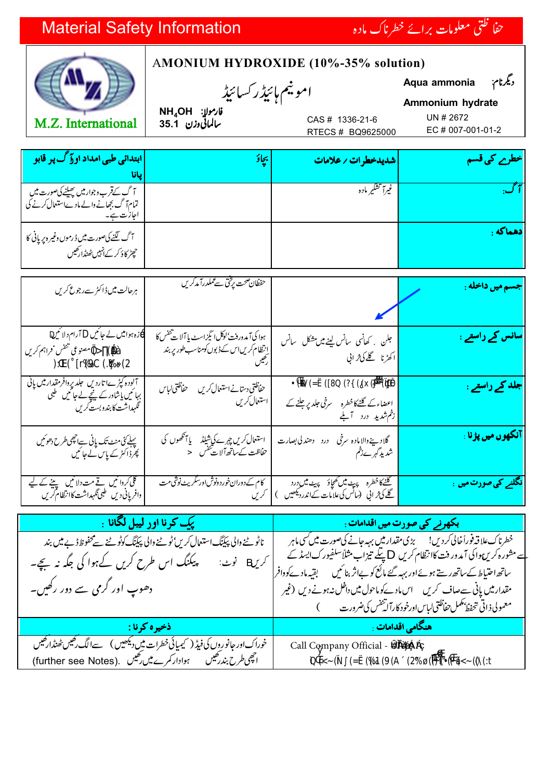## **Material Safety Information**

يانا





ابتدائی طبی امداد او آگ پر قابو

آگ کےقرب وجوارمیں <u>پھیلنے کی</u>صورت میں تمام ٓ گ بِھانے دالے مادےاستعال کر

## AMONIUM HYDROXIDE (10%-35% solution)

امونيم ہائيڈر کسائيڈ

## ديگرنام Aqua ammonia Ammonium hydrate

CAS # 1336-21-6

UN # 2672

تطرے کی قسم

 $NH_4OH$   $ilr$ وارمولا ىبالماتى وزن 35.1

EC # 007-001-01-2

| RTECS # BQ9625000  |                  |  |
|--------------------|------------------|--|
| شديدخطرات / علامات | بچادَ            |  |
| غيرآ تشكير ماده    | $\bullet\bullet$ |  |

| آگ لگنے کی صورت میں ڈرموں وغیر ہ پر پانی کا<br>حچیٹر کاؤکر کےانہیں ٹھنڈارکھیں                                        |                                                                                                   |                                                                                     |                                  |
|----------------------------------------------------------------------------------------------------------------------|---------------------------------------------------------------------------------------------------|-------------------------------------------------------------------------------------|----------------------------------|
| ہرحالت میں ڈاکٹر سےرجوع کریں                                                                                         | حفظان صحت برجحتی سے عملدرآمد کریں                                                                 |                                                                                     | <mark>جسم میں داخله :</mark>     |
| ب زہ ہوا میں لے جا ئیں آرام دلا ئیں<br>ا<br>معطين مصنوعى تنفس فراہم كريں                                             | ہوا کی آمدور دنت'لوکل انگیزاسٹ پا آلات تنفس کا<br><u>انتظام کریںاس کے ڈبوں کومناسب طور پر بند</u> | <b>ہ</b> جلن کھا کھانسی سانس کینے میں مشکل پک سانس<br>ا آھڑنا گلے کی ژاپی           | <mark> سانس کے راستے :</mark>    |
| آلودہ کپڑےاتاردیں جلد پرِوافر مقدار میں پانی<br>  بہائیں یاشاور کے نیچے لے <i>جائیں</i> طبی<br>گهراشت کابندوبست کریں | حفاظتي دستانے استعمال کریں<br>حفاظتى لباس<br>استعال کریں                                          | ) اعضاءکے گلنےکا خطر 6   سرخی جلد پر جلنے کے C<br>انٹم شدی0 درد    آبلے             | جلد کے راستے :                   |
| پہلے گی منٹ تک پانی سےاچھی طرح دھو ٹیں<br>پھرڈا کٹر کے پاس کے جائیں                                                  | استعال کریں چہرے کی شیلڈ یا آنکھوں کی<br>خاطت کے ساتھ آلات تنفس ح                                 | گلادينےوالامادہ سرخی<br>درد دھند کی بصارت<br>شدید گہرےذخم                           | آنکهوں میں پڑنا :                |
| گلی کروائیں نے مت دلائیں پینے کے لیے<br>دافرپانی دیں طبی گلہداشت کاانتظام کریں                                       | کام کے دوران خورد ونوش اورسکریٹ نوشی مت                                                           | گلنےکا خطرہ پیٹ میں تھچاؤ پیٹ میں درد<br>گلے کی فرانی (سائس کی علامات کےاندرد یکھیں | <mark>نگلنے کی صورت میں</mark> : |

| ا المستخدم المستخدم المستخدم المستخدم المستخدم المستخدم المستخدم المستخدم المستخدم المستخدم المستخدم المستخدم ا | استاد کی باباد کی صورت میں اقدامات : <b>1</b>                                                                                                                                                                                                                                                                                                                                                                   |
|-----------------------------------------------------------------------------------------------------------------|-----------------------------------------------------------------------------------------------------------------------------------------------------------------------------------------------------------------------------------------------------------------------------------------------------------------------------------------------------------------------------------------------------------------|
| ناٹو ٹے والی پبکنگ استعال کریں ٹو ٹے والی پبکنگ کوٹو ٹے سے محفوظ ڈ بے میں بند<br>دھوپ اور گرمی سے دور رکھیں۔    | خطرناک علاقہ فوراً خالی کردیں! گرمی مقدار میں بہہ جانے کی صورت میں سی ماہر<br>سے مشورہ کریں ہوا کی آمد ور دقت کاانتظام کریں پتکے تیزاب مثلاً سلفیورک ایسڈ کے<br>ساتھ احتیاط کےساتھ رستے ہوئے اور بہر گئے مائع کو بےاثر بنائیں گلیتیہ مادےکووافر<br>مقدار میں پانی سےصاف کریں ۔ اس مادےکوماحول میں داخل نہ ہونے دیں (غیر ۔ <br>معمولی ذاتی تحفظ <i>نگمل حفاظتی لباس اورخو</i> د کارآ لی <sup>تفنس</sup> کی ضرورت |
| <b>گ ذخیره کرنا :</b>                                                                                           | ۔ هنگامی اقدامات <sub>:</sub>                                                                                                                                                                                                                                                                                                                                                                                   |
| خوراکاور جانوروں کی فیڈ ( کیمیائی خطرات میں دیکھیں )   سےالگ رکھیں ٹھنڈارکھیں<br>۔                              | Call Company Official -                                                                                                                                                                                                                                                                                                                                                                                         |
| اچھی طرح بندر کھیں ہوادار کمرے میں رکھیں .(further see Notes)                                                   |                                                                                                                                                                                                                                                                                                                                                                                                                 |